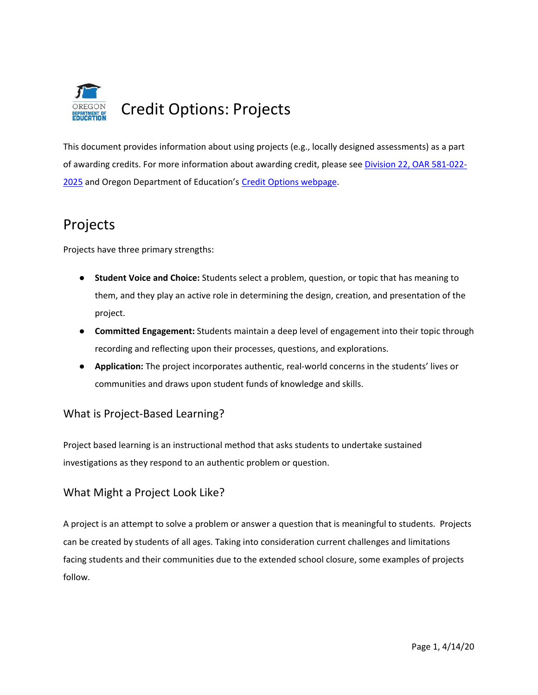

This document provides information about using projects (e.g., locally designed assessments) as a part of awarding credits. For more information about awarding credit, please see Division 22, OAR 581-022- 2025 and Oregon Department of Education's [Credit Options webpage.](https://www.oregon.gov/ode/students-and-family/OregonDiploma/Pages/Credit-Options.aspx)

# Projects

Projects have three primary strengths:

- **Student Voice and Choice:** Students select a problem, question, or topic that has meaning to them, and they play an active role in determining the design, creation, and presentation of the project.
- **Committed Engagement:** Students maintain a deep level of engagement into their topic through recording and reflecting upon their processes, questions, and explorations.
- **Application:** The project incorporates authentic, real-world concerns in the students' lives or communities and draws upon student funds of knowledge and skills.

## What is Project-Based Learning?

Project based learning is an instructional method that asks students to undertake sustained investigations as they respond to an authentic problem or question.

# What Might a Project Look Like?

A project is an attempt to solve a problem or answer a question that is meaningful to students. Projects can be created by students of all ages. Taking into consideration current challenges and limitations facing students and their communities due to the extended school closure, some examples of projects follow.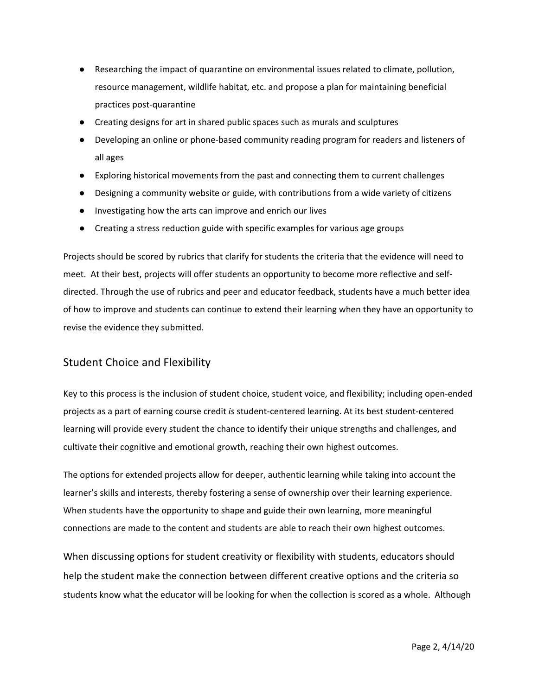- Researching the impact of quarantine on environmental issues related to climate, pollution, resource management, wildlife habitat, etc. and propose a plan for maintaining beneficial practices post-quarantine
- Creating designs for art in shared public spaces such as murals and sculptures
- Developing an online or phone-based community reading program for readers and listeners of all ages
- Exploring historical movements from the past and connecting them to current challenges
- Designing a community website or guide, with contributions from a wide variety of citizens
- Investigating how the arts can improve and enrich our lives
- Creating a stress reduction guide with specific examples for various age groups

Projects should be scored by rubrics that clarify for students the criteria that the evidence will need to meet. At their best, projects will offer students an opportunity to become more reflective and selfdirected. Through the use of rubrics and peer and educator feedback, students have a much better idea of how to improve and students can continue to extend their learning when they have an opportunity to revise the evidence they submitted.

## Student Choice and Flexibility

Key to this process is the inclusion of student choice, student voice, and flexibility; including open-ended projects as a part of earning course credit *is* student-centered learning. At its best student-centered learning will provide every student the chance to identify their unique strengths and challenges, and cultivate their cognitive and emotional growth, reaching their own highest outcomes.

The options for extended projects allow for deeper, authentic learning while taking into account the learner's skills and interests, thereby fostering a sense of ownership over their learning experience. When students have the opportunity to shape and guide their own learning, more meaningful connections are made to the content and students are able to reach their own highest outcomes.

When discussing options for student creativity or flexibility with students, educators should help the student make the connection between different creative options and the criteria so students know what the educator will be looking for when the collection is scored as a whole. Although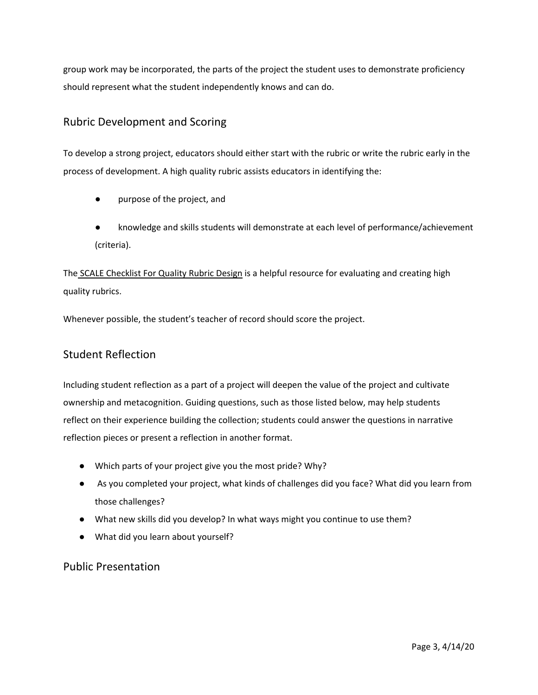group work may be incorporated, the parts of the project the student uses to demonstrate proficiency should represent what the student independently knows and can do.

## Rubric Development and Scoring

To develop a strong project, educators should either start with the rubric or write the rubric early in the process of development. A high quality rubric assists educators in identifying the:

- purpose of the project, and
- knowledge and skills students will demonstrate at each level of performance/achievement (criteria).

The [SCALE Checklist For Quality Rubric Design](http://www.performanceassessmentresourcebank.org/system/files/SCALE%20Quality%20Rubric%20Checklist.docx.pdf) is a helpful resource for evaluating and creating high quality rubrics.

Whenever possible, the student's teacher of record should score the project.

## Student Reflection

Including student reflection as a part of a project will deepen the value of the project and cultivate ownership and metacognition. Guiding questions, such as those listed below, may help students reflect on their experience building the collection; students could answer the questions in narrative reflection pieces or present a reflection in another format.

- Which parts of your project give you the most pride? Why?
- As you completed your project, what kinds of challenges did you face? What did you learn from those challenges?
- What new skills did you develop? In what ways might you continue to use them?
- What did you learn about yourself?

## Public Presentation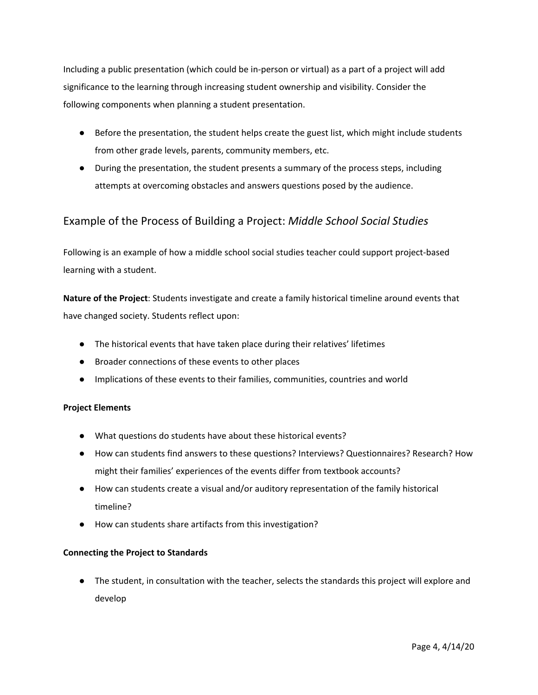Including a public presentation (which could be in-person or virtual) as a part of a project will add significance to the learning through increasing student ownership and visibility. Consider the following components when planning a student presentation.

- Before the presentation, the student helps create the guest list, which might include students from other grade levels, parents, community members, etc.
- During the presentation, the student presents a summary of the process steps, including attempts at overcoming obstacles and answers questions posed by the audience.

# Example of the Process of Building a Project: *Middle School Social Studies*

Following is an example of how a middle school social studies teacher could support project-based learning with a student.

**Nature of the Project**: Students investigate and create a family historical timeline around events that have changed society. Students reflect upon:

- The historical events that have taken place during their relatives' lifetimes
- Broader connections of these events to other places
- Implications of these events to their families, communities, countries and world

#### **Project Elements**

- What questions do students have about these historical events?
- How can students find answers to these questions? Interviews? Questionnaires? Research? How might their families' experiences of the events differ from textbook accounts?
- How can students create a visual and/or auditory representation of the family historical timeline?
- How can students share artifacts from this investigation?

#### **Connecting the Project to Standards**

● The student, in consultation with the teacher, selects the standards this project will explore and develop